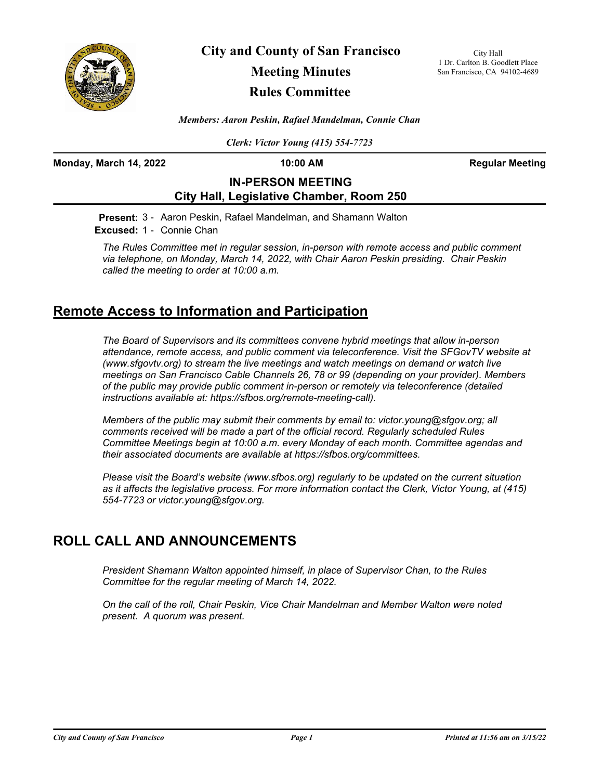

**City and County of San Francisco Meeting Minutes**

# **Rules Committee**

City Hall 1 Dr. Carlton B. Goodlett Place San Francisco, CA 94102-4689

*Members: Aaron Peskin, Rafael Mandelman, Connie Chan*

*Clerk: Victor Young (415) 554-7723*

**Monday, March 14, 2022 10:00 AM Regular Meeting** 

## **IN-PERSON MEETING City Hall, Legislative Chamber, Room 250**

**Present:** 3 - Aaron Peskin, Rafael Mandelman, and Shamann Walton **Excused:** 1 - Connie Chan

*The Rules Committee met in regular session, in-person with remote access and public comment via telephone, on Monday, March 14, 2022, with Chair Aaron Peskin presiding. Chair Peskin called the meeting to order at 10:00 a.m.*

# **Remote Access to Information and Participation**

*The Board of Supervisors and its committees convene hybrid meetings that allow in-person attendance, remote access, and public comment via teleconference. Visit the SFGovTV website at (www.sfgovtv.org) to stream the live meetings and watch meetings on demand or watch live meetings on San Francisco Cable Channels 26, 78 or 99 (depending on your provider). Members of the public may provide public comment in-person or remotely via teleconference (detailed instructions available at: https://sfbos.org/remote-meeting-call).* 

*Members of the public may submit their comments by email to: victor.young@sfgov.org; all comments received will be made a part of the official record. Regularly scheduled Rules Committee Meetings begin at 10:00 a.m. every Monday of each month. Committee agendas and their associated documents are available at https://sfbos.org/committees.*

*Please visit the Board's website (www.sfbos.org) regularly to be updated on the current situation as it affects the legislative process. For more information contact the Clerk, Victor Young, at (415) 554-7723 or victor.young@sfgov.org.*

# **ROLL CALL AND ANNOUNCEMENTS**

*President Shamann Walton appointed himself, in place of Supervisor Chan, to the Rules Committee for the regular meeting of March 14, 2022.*

*On the call of the roll, Chair Peskin, Vice Chair Mandelman and Member Walton were noted present. A quorum was present.*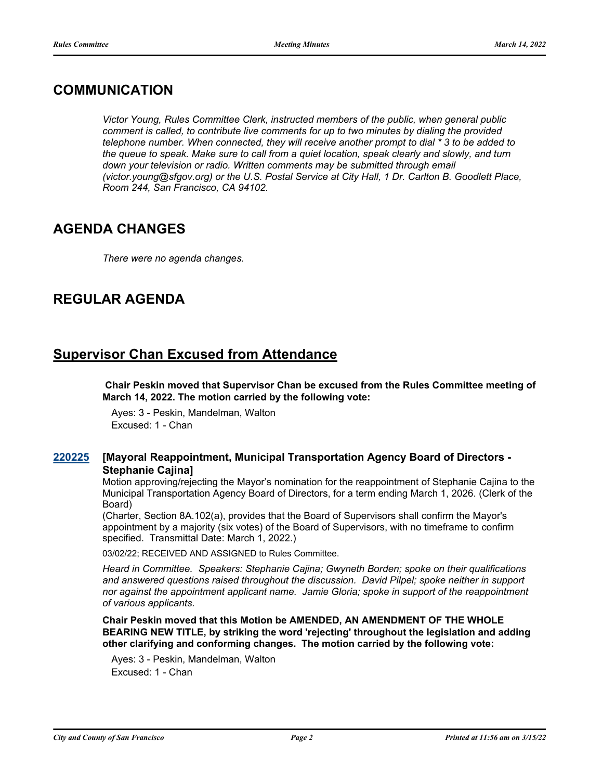## **COMMUNICATION**

*Victor Young, Rules Committee Clerk, instructed members of the public, when general public comment is called, to contribute live comments for up to two minutes by dialing the provided telephone number. When connected, they will receive another prompt to dial \* 3 to be added to the queue to speak. Make sure to call from a quiet location, speak clearly and slowly, and turn*  down your television or radio. Written comments may be submitted through email *(victor.young@sfgov.org) or the U.S. Postal Service at City Hall, 1 Dr. Carlton B. Goodlett Place, Room 244, San Francisco, CA 94102.*

# **AGENDA CHANGES**

*There were no agenda changes.*

# **REGULAR AGENDA**

## **Supervisor Chan Excused from Attendance**

 **Chair Peskin moved that Supervisor Chan be excused from the Rules Committee meeting of March 14, 2022. The motion carried by the following vote:**

Ayes: 3 - Peskin, Mandelman, Walton Excused: 1 - Chan

#### **[Mayoral Reappointment, Municipal Transportation Agency Board of Directors - Stephanie Cajina] [220225](http://sfgov.legistar.com/gateway.aspx?m=l&id=38420)**

Motion approving/rejecting the Mayor's nomination for the reappointment of Stephanie Cajina to the Municipal Transportation Agency Board of Directors, for a term ending March 1, 2026. (Clerk of the Board)

(Charter, Section 8A.102(a), provides that the Board of Supervisors shall confirm the Mayor's appointment by a majority (six votes) of the Board of Supervisors, with no timeframe to confirm specified. Transmittal Date: March 1, 2022.)

03/02/22; RECEIVED AND ASSIGNED to Rules Committee.

*Heard in Committee. Speakers: Stephanie Cajina; Gwyneth Borden; spoke on their qualifications and answered questions raised throughout the discussion. David Pilpel; spoke neither in support nor against the appointment applicant name. Jamie Gloria; spoke in support of the reappointment of various applicants.*

**Chair Peskin moved that this Motion be AMENDED, AN AMENDMENT OF THE WHOLE BEARING NEW TITLE, by striking the word 'rejecting' throughout the legislation and adding other clarifying and conforming changes. The motion carried by the following vote:**

Ayes: 3 - Peskin, Mandelman, Walton Excused: 1 - Chan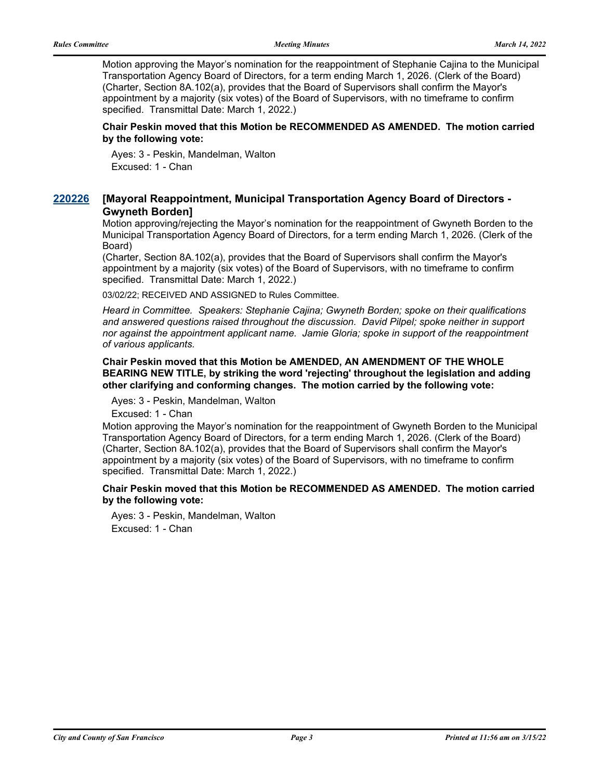Motion approving the Mayor's nomination for the reappointment of Stephanie Cajina to the Municipal Transportation Agency Board of Directors, for a term ending March 1, 2026. (Clerk of the Board) (Charter, Section 8A.102(a), provides that the Board of Supervisors shall confirm the Mayor's appointment by a majority (six votes) of the Board of Supervisors, with no timeframe to confirm specified. Transmittal Date: March 1, 2022.)

### **Chair Peskin moved that this Motion be RECOMMENDED AS AMENDED. The motion carried by the following vote:**

Ayes: 3 - Peskin, Mandelman, Walton Excused: 1 - Chan

#### **[Mayoral Reappointment, Municipal Transportation Agency Board of Directors - Gwyneth Borden] [220226](http://sfgov.legistar.com/gateway.aspx?m=l&id=38421)**

Motion approving/rejecting the Mayor's nomination for the reappointment of Gwyneth Borden to the Municipal Transportation Agency Board of Directors, for a term ending March 1, 2026. (Clerk of the Board)

(Charter, Section 8A.102(a), provides that the Board of Supervisors shall confirm the Mayor's appointment by a majority (six votes) of the Board of Supervisors, with no timeframe to confirm specified. Transmittal Date: March 1, 2022.)

03/02/22; RECEIVED AND ASSIGNED to Rules Committee.

*Heard in Committee. Speakers: Stephanie Cajina; Gwyneth Borden; spoke on their qualifications and answered questions raised throughout the discussion. David Pilpel; spoke neither in support nor against the appointment applicant name. Jamie Gloria; spoke in support of the reappointment of various applicants.*

**Chair Peskin moved that this Motion be AMENDED, AN AMENDMENT OF THE WHOLE BEARING NEW TITLE, by striking the word 'rejecting' throughout the legislation and adding other clarifying and conforming changes. The motion carried by the following vote:**

Ayes: 3 - Peskin, Mandelman, Walton

Excused: 1 - Chan

Motion approving the Mayor's nomination for the reappointment of Gwyneth Borden to the Municipal Transportation Agency Board of Directors, for a term ending March 1, 2026. (Clerk of the Board) (Charter, Section 8A.102(a), provides that the Board of Supervisors shall confirm the Mayor's appointment by a majority (six votes) of the Board of Supervisors, with no timeframe to confirm specified. Transmittal Date: March 1, 2022.)

**Chair Peskin moved that this Motion be RECOMMENDED AS AMENDED. The motion carried by the following vote:**

Ayes: 3 - Peskin, Mandelman, Walton Excused: 1 - Chan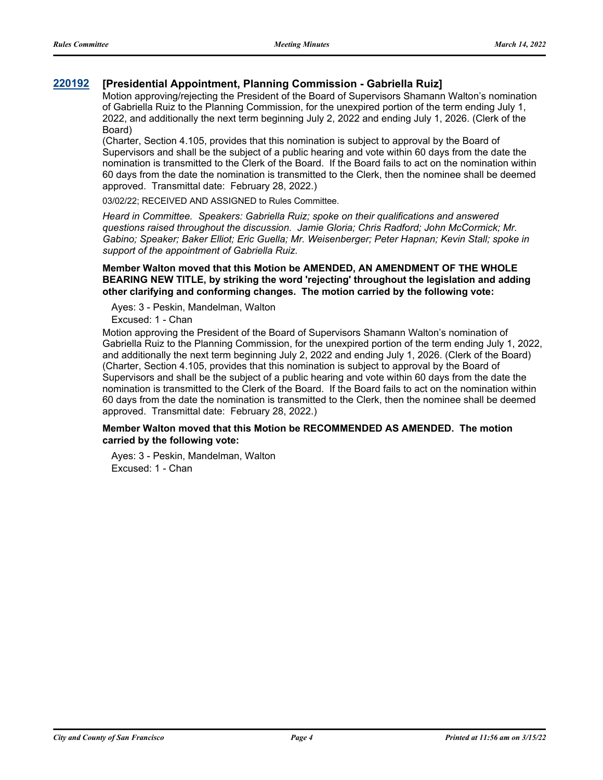### **[220192](http://sfgov.legistar.com/gateway.aspx?m=l&id=38387) [Presidential Appointment, Planning Commission - Gabriella Ruiz]**

Motion approving/rejecting the President of the Board of Supervisors Shamann Walton's nomination of Gabriella Ruiz to the Planning Commission, for the unexpired portion of the term ending July 1, 2022, and additionally the next term beginning July 2, 2022 and ending July 1, 2026. (Clerk of the Board)

(Charter, Section 4.105, provides that this nomination is subject to approval by the Board of Supervisors and shall be the subject of a public hearing and vote within 60 days from the date the nomination is transmitted to the Clerk of the Board. If the Board fails to act on the nomination within 60 days from the date the nomination is transmitted to the Clerk, then the nominee shall be deemed approved. Transmittal date: February 28, 2022.)

03/02/22; RECEIVED AND ASSIGNED to Rules Committee.

*Heard in Committee. Speakers: Gabriella Ruiz; spoke on their qualifications and answered questions raised throughout the discussion. Jamie Gloria; Chris Radford; John McCormick; Mr. Gabino; Speaker; Baker Elliot; Eric Guella; Mr. Weisenberger; Peter Hapnan; Kevin Stall; spoke in support of the appointment of Gabriella Ruiz.*

#### **Member Walton moved that this Motion be AMENDED, AN AMENDMENT OF THE WHOLE BEARING NEW TITLE, by striking the word 'rejecting' throughout the legislation and adding other clarifying and conforming changes. The motion carried by the following vote:**

Ayes: 3 - Peskin, Mandelman, Walton

Excused: 1 - Chan

Motion approving the President of the Board of Supervisors Shamann Walton's nomination of Gabriella Ruiz to the Planning Commission, for the unexpired portion of the term ending July 1, 2022, and additionally the next term beginning July 2, 2022 and ending July 1, 2026. (Clerk of the Board) (Charter, Section 4.105, provides that this nomination is subject to approval by the Board of Supervisors and shall be the subject of a public hearing and vote within 60 days from the date the nomination is transmitted to the Clerk of the Board. If the Board fails to act on the nomination within 60 days from the date the nomination is transmitted to the Clerk, then the nominee shall be deemed approved. Transmittal date: February 28, 2022.)

### **Member Walton moved that this Motion be RECOMMENDED AS AMENDED. The motion carried by the following vote:**

Ayes: 3 - Peskin, Mandelman, Walton Excused: 1 - Chan